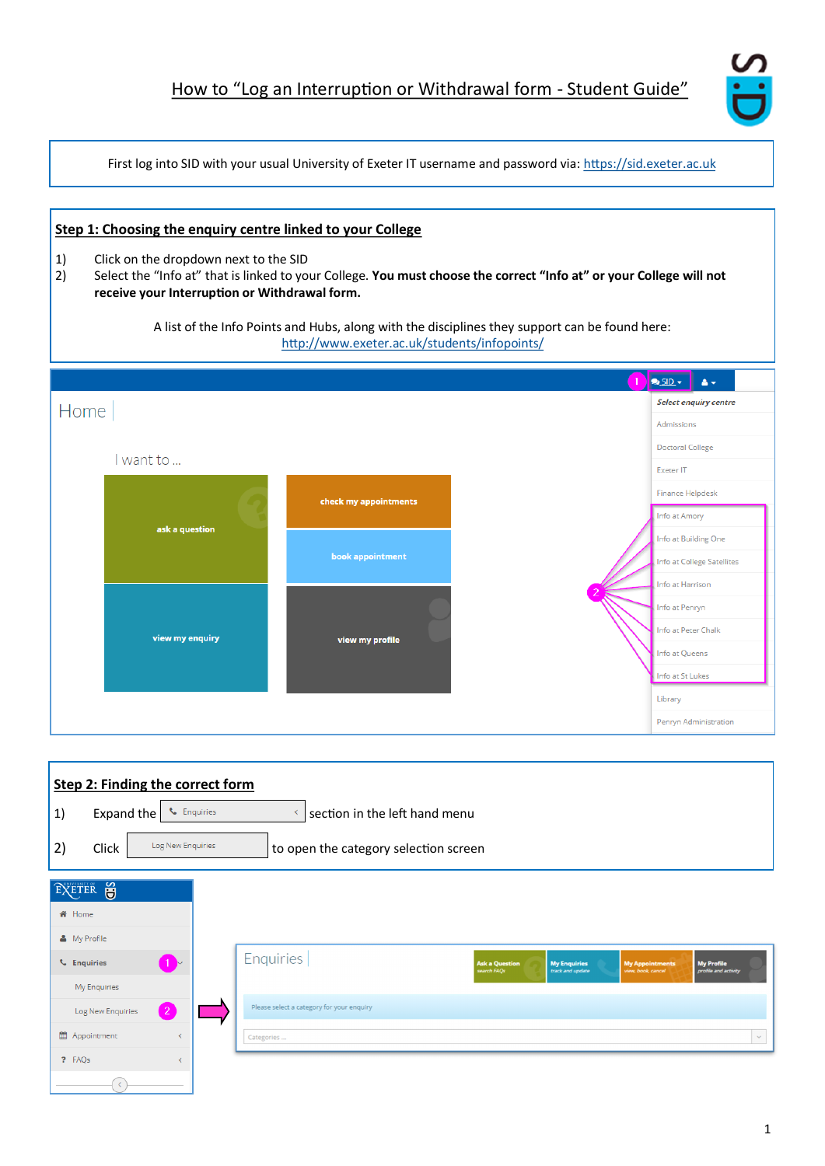

First log into SID with your usual University of Exeter IT username and password via: <https://sid.exeter.ac.uk>

| Step 1: Choosing the enquiry centre linked to your College<br>1)<br>Click on the dropdown next to the SID<br>2)<br>receive your Interruption or Withdrawal form. | Select the "Info at" that is linked to your College. You must choose the correct "Info at" or your College will not<br>A list of the Info Points and Hubs, along with the disciplines they support can be found here:<br>http://www.exeter.ac.uk/students/infopoints/ |                                             |
|------------------------------------------------------------------------------------------------------------------------------------------------------------------|-----------------------------------------------------------------------------------------------------------------------------------------------------------------------------------------------------------------------------------------------------------------------|---------------------------------------------|
|                                                                                                                                                                  |                                                                                                                                                                                                                                                                       | $Q$ SID $\star$<br>A +                      |
| Home                                                                                                                                                             |                                                                                                                                                                                                                                                                       | <b>Select enquiry centre</b>                |
|                                                                                                                                                                  |                                                                                                                                                                                                                                                                       | Admissions                                  |
| I want to                                                                                                                                                        |                                                                                                                                                                                                                                                                       | <b>Doctoral College</b><br><b>Exeter IT</b> |
|                                                                                                                                                                  | check my appointments                                                                                                                                                                                                                                                 | <b>Finance Helpdesk</b>                     |
| ask a question                                                                                                                                                   |                                                                                                                                                                                                                                                                       | Info at Amory<br>Info at Building One       |
|                                                                                                                                                                  | book appointment                                                                                                                                                                                                                                                      | Info at College Satellites                  |
|                                                                                                                                                                  |                                                                                                                                                                                                                                                                       | Info at Harrison<br>Info at Penryn          |
|                                                                                                                                                                  |                                                                                                                                                                                                                                                                       | Info at Peter Chalk                         |
| view my enquiry                                                                                                                                                  | view my profile                                                                                                                                                                                                                                                       | Info at Queens                              |
|                                                                                                                                                                  |                                                                                                                                                                                                                                                                       | Info at St Lukes                            |
|                                                                                                                                                                  |                                                                                                                                                                                                                                                                       | Library                                     |
|                                                                                                                                                                  |                                                                                                                                                                                                                                                                       | Penryn Administration                       |
|                                                                                                                                                                  |                                                                                                                                                                                                                                                                       |                                             |
| <b>Step 2: Finding the correct form</b>                                                                                                                          |                                                                                                                                                                                                                                                                       |                                             |

| Step 2: Finding the correct form    |                                                                                                                                                                                                  |
|-------------------------------------|--------------------------------------------------------------------------------------------------------------------------------------------------------------------------------------------------|
| Expand the<br>1)                    | <b>L</b> Enquiries<br>section in the left hand menu<br>$\left\langle$                                                                                                                            |
| Log New Enquiries<br>2)<br>Click    | to open the category selection screen                                                                                                                                                            |
| EXETER S                            |                                                                                                                                                                                                  |
| <b>备</b> Home                       |                                                                                                                                                                                                  |
| & My Profile                        |                                                                                                                                                                                                  |
| <b>L</b> Enquiries                  | <b>Enquiries</b><br><b>My Enquiries</b><br><b>My Profile</b><br><b>Ask a Question</b><br><b>My Appointments</b><br>search FAQs<br>track and update<br>profile and activity<br>view, book, cancel |
| My Enquiries                        |                                                                                                                                                                                                  |
| $\overline{2}$<br>Log New Enquiries | Please select a category for your enquiry                                                                                                                                                        |
| th Appointment<br>$\epsilon$        | $\checkmark$<br>Categories                                                                                                                                                                       |
| ? FAQs                              |                                                                                                                                                                                                  |
|                                     |                                                                                                                                                                                                  |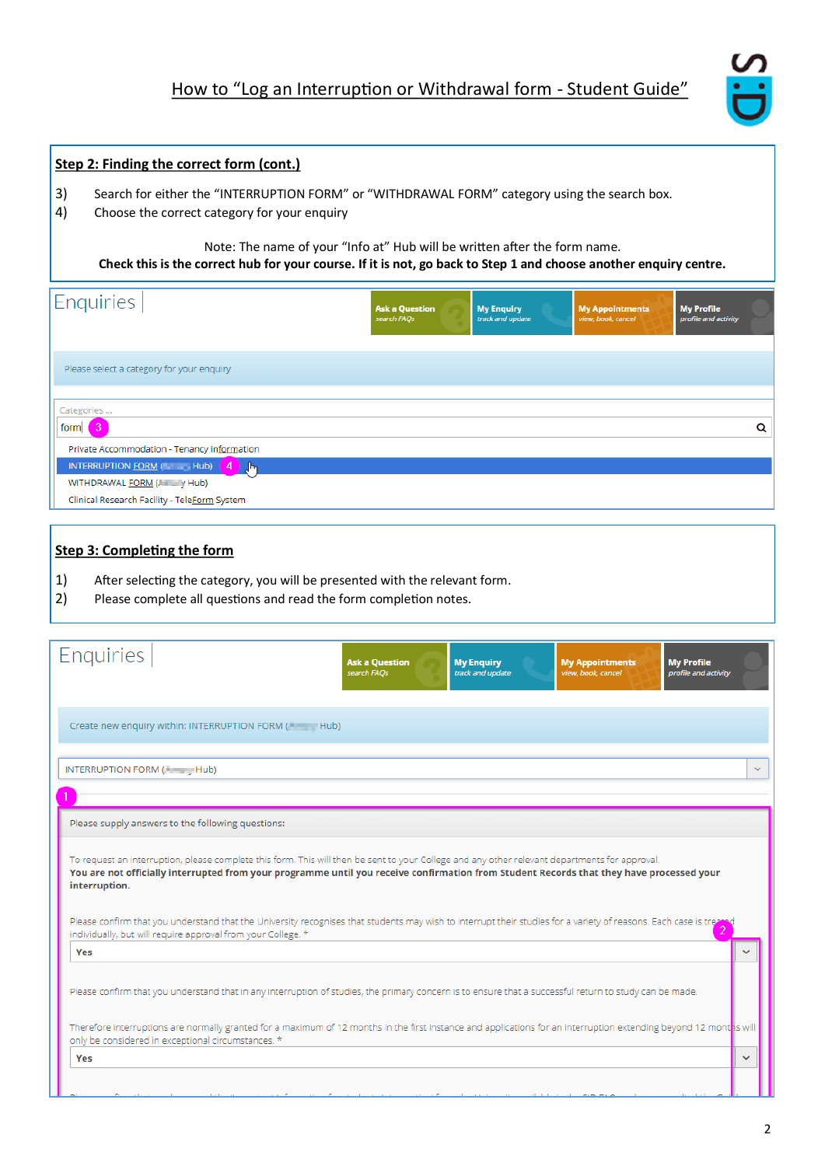# How to "Log an Interruption or Withdrawal form - Student Guide"



### **Step 2: Finding the correct form (cont.)**

- 3) Search for either the "INTERRUPTION FORM" or "WITHDRAWAL FORM" category using the search box.
- 4) Choose the correct category for your enquiry

Note: The name of your "Info at" Hub will be written after the form name.

**Check this is the correct hub for your course. If it is not, go back to Step 1 and choose another enquiry centre.**

| Enquiries                                                                                                            | <b>Ask a Question</b><br>search FAQs | <b>My Enquiry</b><br>track and update | <b>My Appointments</b><br>view, book, cancel | <b>My Profile</b><br>profile and activity |   |
|----------------------------------------------------------------------------------------------------------------------|--------------------------------------|---------------------------------------|----------------------------------------------|-------------------------------------------|---|
| Please select a category for your enquiry                                                                            |                                      |                                       |                                              |                                           |   |
| Categories<br>form<br>Private Accommodation - Tenancy information                                                    |                                      |                                       |                                              |                                           | Q |
| INTERRUPTION FORM (North Hub) 4 Jun<br>WITHDRAWAL FORM (A THE Y Hub)<br>Clinical Research Facility - TeleForm System |                                      |                                       |                                              |                                           |   |

#### **Step 3: Completing the form**

- 1) After selecting the category, you will be presented with the relevant form.
- 2) Please complete all questions and read the form completion notes.

| <b>Enquiries</b><br><b>My Enquiry</b><br><b>My Profile</b><br><b>Ask a Question</b><br><b>My Appointments</b><br>search FAQs<br>track and update<br>view, book, cancel<br>profile and activity                                                                                                              |              |
|-------------------------------------------------------------------------------------------------------------------------------------------------------------------------------------------------------------------------------------------------------------------------------------------------------------|--------------|
| Create new enquiry within: INTERRUPTION FORM (Fig. 14 Hub)                                                                                                                                                                                                                                                  |              |
| INTERRUPTION FORM ( Heart Hub)                                                                                                                                                                                                                                                                              | $\checkmark$ |
| Please supply answers to the following questions:                                                                                                                                                                                                                                                           |              |
| To request an interruption, please complete this form. This will then be sent to your College and any other relevant departments for approval.<br>You are not officially interrupted from your programme until you receive confirmation from Student Records that they have processed your<br>interruption. |              |
| Please confirm that you understand that the University recognises that students may wish to interrupt their studies for a variety of reasons. Each case is treat<br>individually, but will require approval from your College. *                                                                            |              |
| Yes                                                                                                                                                                                                                                                                                                         | ◡            |
| Please confirm that you understand that in any interruption of studies, the primary concern is to ensure that a successful return to study can be made.                                                                                                                                                     |              |
| Therefore interruptions are normally granted for a maximum of 12 months in the first instance and applications for an interruption extending beyond 12 mont ns will<br>only be considered in exceptional circumstances. *                                                                                   |              |
| Yes                                                                                                                                                                                                                                                                                                         | $\checkmark$ |
|                                                                                                                                                                                                                                                                                                             |              |